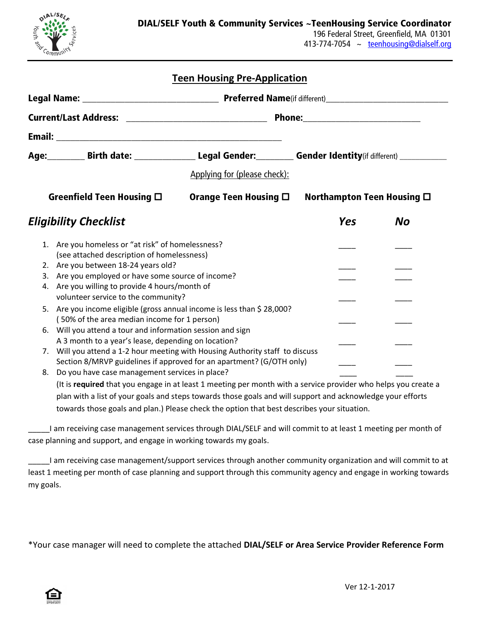

## **Teen Housing Pre-Application**

|  | Age: Birth date: _________________________Legal Gender: ___________ Gender Identity(if different) ____________                                                                                                                          |                              |                                    |           |
|--|-----------------------------------------------------------------------------------------------------------------------------------------------------------------------------------------------------------------------------------------|------------------------------|------------------------------------|-----------|
|  |                                                                                                                                                                                                                                         | Applying for (please check): |                                    |           |
|  | Greenfield Teen Housing $\square$                                                                                                                                                                                                       | Orange Teen Housing $\Box$   | Northampton Teen Housing $\square$ |           |
|  | <b>Eligibility Checklist</b>                                                                                                                                                                                                            |                              | <b>Yes</b>                         | <b>No</b> |
|  | 1. Are you homeless or "at risk" of homelessness?<br>(see attached description of homelessness)                                                                                                                                         |                              |                                    |           |
|  | 2. Are you between 18-24 years old?                                                                                                                                                                                                     |                              |                                    |           |
|  | 3. Are you employed or have some source of income?<br>4. Are you willing to provide 4 hours/month of                                                                                                                                    |                              |                                    |           |
|  | volunteer service to the community?                                                                                                                                                                                                     |                              |                                    |           |
|  | 5. Are you income eligible (gross annual income is less than \$ 28,000?                                                                                                                                                                 |                              |                                    |           |
|  | (50% of the area median income for 1 person)<br>6. Will you attend a tour and information session and sign                                                                                                                              |                              |                                    |           |
|  | A 3 month to a year's lease, depending on location?                                                                                                                                                                                     |                              |                                    |           |
|  | 7. Will you attend a 1-2 hour meeting with Housing Authority staff to discuss                                                                                                                                                           |                              |                                    |           |
|  | Section 8/MRVP guidelines if approved for an apartment? (G/OTH only)                                                                                                                                                                    |                              |                                    |           |
|  | 8. Do you have case management services in place?                                                                                                                                                                                       |                              |                                    |           |
|  | $\mathbf{f}(\mathbf{r},t)$ , and the state of the state of the state of the state of the state of the state of the state of the state of the state of the state of the state of the state of the state of the state of the state of the |                              |                                    |           |

(It is **required** that you engage in at least 1 meeting per month with a service provider who helps you create a plan with a list of your goals and steps towards those goals and will support and acknowledge your efforts towards those goals and plan.) Please check the option that best describes your situation.

I am receiving case management services through DIAL/SELF and will commit to at least 1 meeting per month of case planning and support, and engage in working towards my goals.

\_\_\_\_\_I am receiving case management/support services through another community organization and will commit to at least 1 meeting per month of case planning and support through this community agency and engage in working towards my goals.

\*Your case manager will need to complete the attached **DIAL/SELF or Area Service Provider Reference Form**

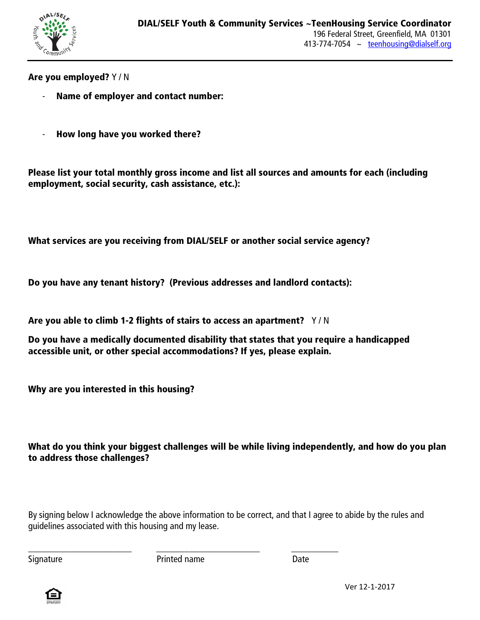

Are you employed? Y / N

- Name of employer and contact number:
- How long have you worked there?

Please list your total monthly gross income and list all sources and amounts for each (including employment, social security, cash assistance, etc.):

What services are you receiving from DIAL/SELF or another social service agency?

Do you have any tenant history? (Previous addresses and landlord contacts):

Are you able to climb 1-2 flights of stairs to access an apartment?  $Y/N$ 

Do you have a medically documented disability that states that you require a handicapped accessible unit, or other special accommodations? If yes, please explain.

Why are you interested in this housing?

What do you think your biggest challenges will be while living independently, and how do you plan to address those challenges?

By signing below I acknowledge the above information to be correct, and that I agree to abide by the rules and guidelines associated with this housing and my lease.

\_\_\_\_\_\_\_\_\_\_\_\_\_\_\_\_\_\_\_\_\_\_ \_\_\_\_\_\_\_\_\_\_\_\_\_\_\_\_\_\_\_\_\_\_ \_\_\_\_\_\_\_\_\_\_ Signature **Date** Printed name **Date** Date

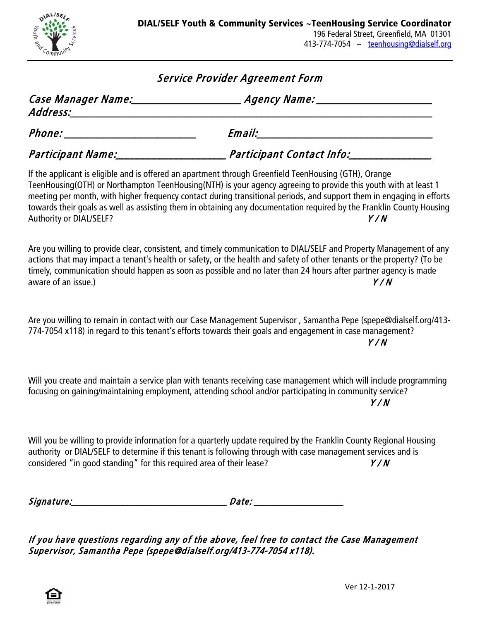

## Service Provider Agreement Form

| Case Manager Name:<br>Address: | Agency Name:              |  |
|--------------------------------|---------------------------|--|
| <i>Phone:</i>                  | Email:                    |  |
| Participant Name:              | Participant Contact Info: |  |

If the applicant is eligible and is offered an apartment through Greenfield TeenHousing (GTH), Orange TeenHousing(OTH) or Northampton TeenHousing(NTH) is your agency agreeing to provide this youth with at least 1 meeting per month, with higher frequency contact during transitional periods, and support them in engaging in efforts towards their goals as well as assisting them in obtaining any documentation required by the Franklin County Housing Authority or DIAL/SELF? Y / N

Are you willing to provide clear, consistent, and timely communication to DIAL/SELF and Property Management of any actions that may impact a tenant's health or safety, or the health and safety of other tenants or the property? (To be timely, communication should happen as soon as possible and no later than 24 hours after partner agency is made aware of an issue.)  $Y/N$ 

Are you willing to remain in contact with our Case Management Supervisor , Samantha Pepe (spepe@dialself.org/413- 774-7054 x118) in regard to this tenant's efforts towards their goals and engagement in case management?  $Y/N$ 

Will you create and maintain a service plan with tenants receiving case management which will include programming focusing on gaining/maintaining employment, attending school and/or participating in community service? Y / N

Will you be willing to provide information for a quarterly update required by the Franklin County Regional Housing authority or DIAL/SELF to determine if this tenant is following through with case management services and is considered "in good standing" for this required area of their lease?  $Y/N$ 

Signature:\_\_\_\_\_\_\_\_\_\_\_\_\_\_\_\_\_\_\_\_\_\_\_\_\_\_\_\_\_\_\_\_\_ Date: \_\_\_\_\_\_\_\_\_\_\_\_\_\_\_\_\_\_\_

If you have questions regarding any of the above, feel free to contact the Case Management Supervisor, Samantha Pepe (spepe@dialself.org/413-774-7054 x118).

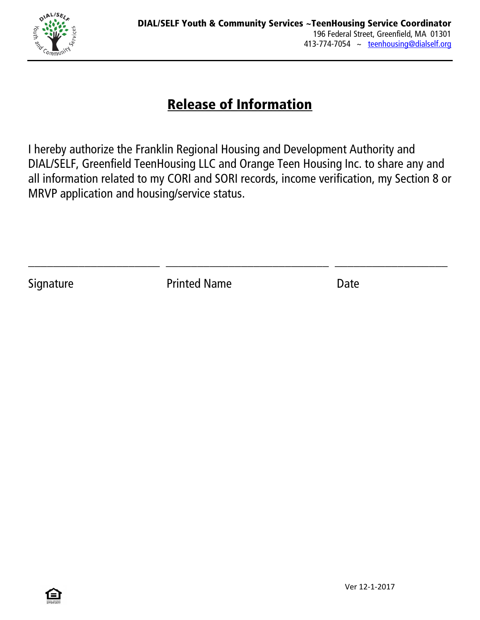

## Release of Information

I hereby authorize the Franklin Regional Housing and Development Authority and DIAL/SELF, Greenfield TeenHousing LLC and Orange Teen Housing Inc. to share any and all information related to my CORI and SORI records, income verification, my Section 8 or MRVP application and housing/service status.

\_\_\_\_\_\_\_\_\_\_\_\_\_\_\_\_\_\_\_\_\_ \_\_\_\_\_\_\_\_\_\_\_\_\_\_\_\_\_\_\_\_\_\_\_\_\_\_ \_\_\_\_\_\_\_\_\_\_\_\_\_\_\_\_\_\_

Signature **Printed Name Date**